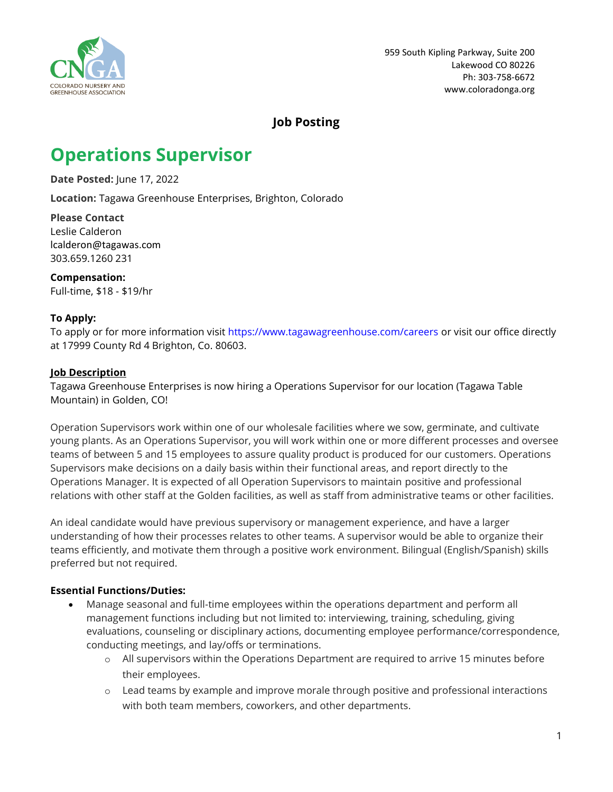

## **Job Posting**

# **Operations Supervisor**

**Date Posted:** June 17, 2022

**Location:** Tagawa Greenhouse Enterprises, Brighton, Colorado

**Please Contact** Leslie Calderon lcalderon@tagawas.com 303.659.1260 231

**Compensation:** Full-time, \$18 - \$19/hr

### **To Apply:**

To apply or for more information visit <https://www.tagawagreenhouse.com/careers> or visit our office directly at 17999 County Rd 4 Brighton, Co. 80603.

#### **Job Description**

Tagawa Greenhouse Enterprises is now hiring a Operations Supervisor for our location (Tagawa Table Mountain) in Golden, CO!

Operation Supervisors work within one of our wholesale facilities where we sow, germinate, and cultivate young plants. As an Operations Supervisor, you will work within one or more different processes and oversee teams of between 5 and 15 employees to assure quality product is produced for our customers. Operations Supervisors make decisions on a daily basis within their functional areas, and report directly to the Operations Manager. It is expected of all Operation Supervisors to maintain positive and professional relations with other staff at the Golden facilities, as well as staff from administrative teams or other facilities.

An ideal candidate would have previous supervisory or management experience, and have a larger understanding of how their processes relates to other teams. A supervisor would be able to organize their teams efficiently, and motivate them through a positive work environment. Bilingual (English/Spanish) skills preferred but not required.

### **Essential Functions/Duties:**

- Manage seasonal and full-time employees within the operations department and perform all management functions including but not limited to: interviewing, training, scheduling, giving evaluations, counseling or disciplinary actions, documenting employee performance/correspondence, conducting meetings, and lay/offs or terminations.
	- o All supervisors within the Operations Department are required to arrive 15 minutes before their employees.
	- o Lead teams by example and improve morale through positive and professional interactions with both team members, coworkers, and other departments.